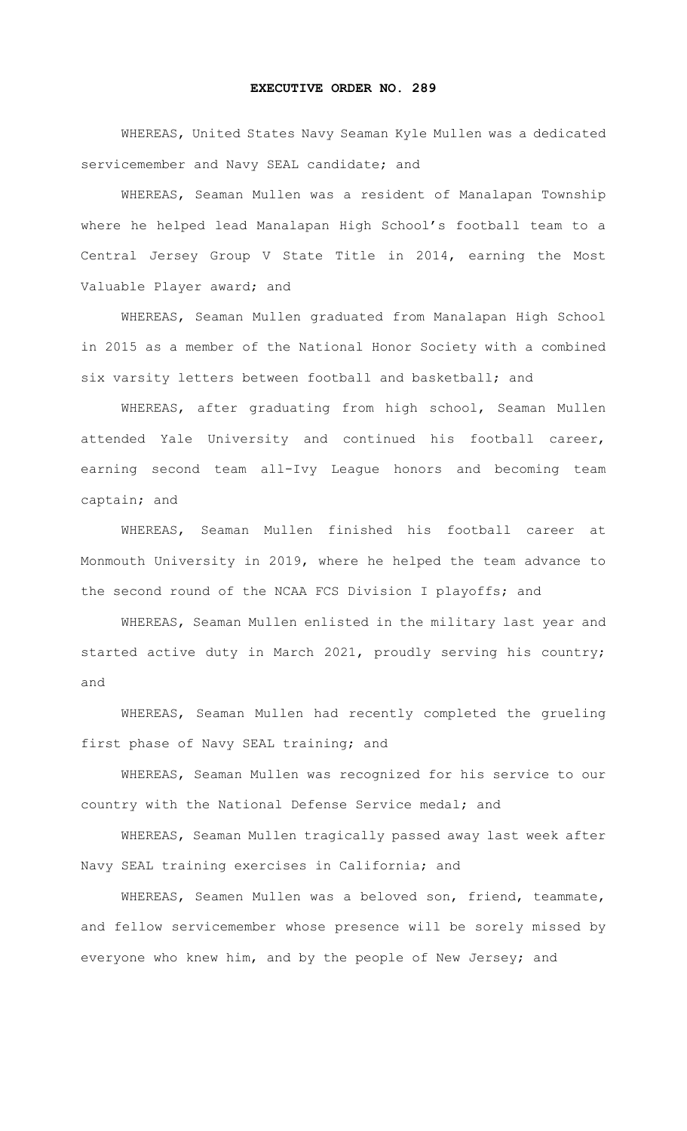## **EXECUTIVE ORDER NO. 289**

WHEREAS, United States Navy Seaman Kyle Mullen was a dedicated servicemember and Navy SEAL candidate; and

WHEREAS, Seaman Mullen was a resident of Manalapan Township where he helped lead Manalapan High School's football team to a Central Jersey Group V State Title in 2014, earning the Most Valuable Player award; and

WHEREAS, Seaman Mullen graduated from Manalapan High School in 2015 as a member of the National Honor Society with a combined six varsity letters between football and basketball; and

WHEREAS, after graduating from high school, Seaman Mullen attended Yale University and continued his football career, earning second team all-Ivy League honors and becoming team captain; and

WHEREAS, Seaman Mullen finished his football career at Monmouth University in 2019, where he helped the team advance to the second round of the NCAA FCS Division I playoffs; and

WHEREAS, Seaman Mullen enlisted in the military last year and started active duty in March 2021, proudly serving his country; and

WHEREAS, Seaman Mullen had recently completed the grueling first phase of Navy SEAL training; and

WHEREAS, Seaman Mullen was recognized for his service to our country with the National Defense Service medal; and

WHEREAS, Seaman Mullen tragically passed away last week after Navy SEAL training exercises in California; and

WHEREAS, Seamen Mullen was a beloved son, friend, teammate, and fellow servicemember whose presence will be sorely missed by everyone who knew him, and by the people of New Jersey; and